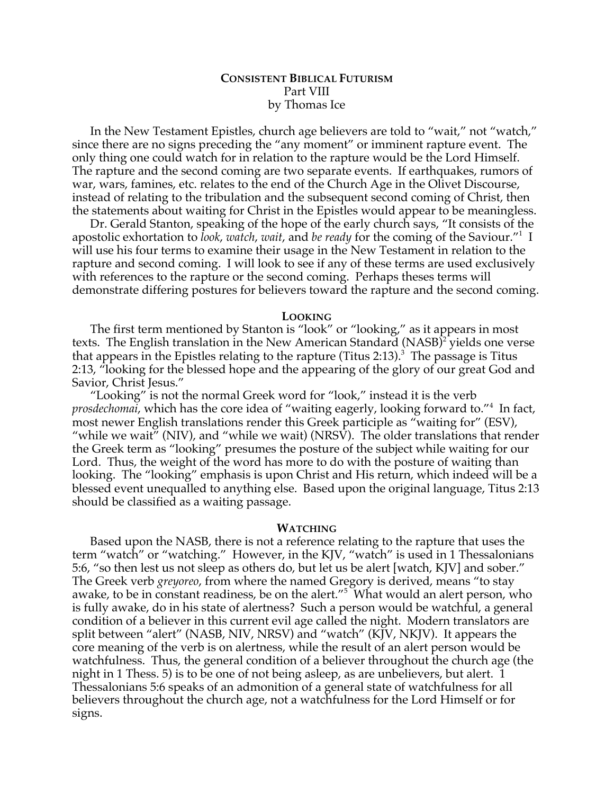## **CONSISTENT BIBLICAL FUTURISM** Part VIII by Thomas Ice

In the New Testament Epistles, church age believers are told to "wait," not "watch," since there are no signs preceding the "any moment" or imminent rapture event. The only thing one could watch for in relation to the rapture would be the Lord Himself. The rapture and the second coming are two separate events. If earthquakes, rumors of war, wars, famines, etc. relates to the end of the Church Age in the Olivet Discourse, instead of relating to the tribulation and the subsequent second coming of Christ, then the statements about waiting for Christ in the Epistles would appear to be meaningless.

Dr. Gerald Stanton, speaking of the hope of the early church says, "It consists of the apostolic exhortation to *look*, *watch*, *wait*, and *be ready* for the coming of the Saviour."1 I will use his four terms to examine their usage in the New Testament in relation to the rapture and second coming. I will look to see if any of these terms are used exclusively with references to the rapture or the second coming. Perhaps theses terms will demonstrate differing postures for believers toward the rapture and the second coming.

#### **LOOKING**

The first term mentioned by Stanton is "look" or "looking," as it appears in most texts. The English translation in the New American Standard (NASB)<sup>2</sup> yields one verse that appears in the Epistles relating to the rapture (Titus 2:13). 3 The passage is Titus 2:13, "looking for the blessed hope and the appearing of the glory of our great God and Savior, Christ Jesus."

"Looking" is not the normal Greek word for "look," instead it is the verb *prosdechomai*, which has the core idea of "waiting eagerly, looking forward to."4 In fact, most newer English translations render this Greek participle as "waiting for" (ESV), "while we wait" (NIV), and "while we wait) (NRSV). The older translations that render the Greek term as "looking" presumes the posture of the subject while waiting for our Lord. Thus, the weight of the word has more to do with the posture of waiting than looking. The "looking" emphasis is upon Christ and His return, which indeed will be a blessed event unequalled to anything else. Based upon the original language, Titus 2:13 should be classified as a waiting passage.

#### **WATCHING**

Based upon the NASB, there is not a reference relating to the rapture that uses the term "watch" or "watching." However, in the KJV, "watch" is used in 1 Thessalonians 5:6, "so then lest us not sleep as others do, but let us be alert [watch, KJV] and sober." The Greek verb *greyoreo*, from where the named Gregory is derived, means "to stay awake, to be in constant readiness, be on the alert."<sup>5</sup> What would an alert person, who is fully awake, do in his state of alertness? Such a person would be watchful, a general condition of a believer in this current evil age called the night. Modern translators are split between "alert" (NASB, NIV, NRSV) and "watch" (KJV, NKJV). It appears the core meaning of the verb is on alertness, while the result of an alert person would be watchfulness. Thus, the general condition of a believer throughout the church age (the night in 1 Thess. 5) is to be one of not being asleep, as are unbelievers, but alert. 1 Thessalonians 5:6 speaks of an admonition of a general state of watchfulness for all believers throughout the church age, not a watchfulness for the Lord Himself or for signs.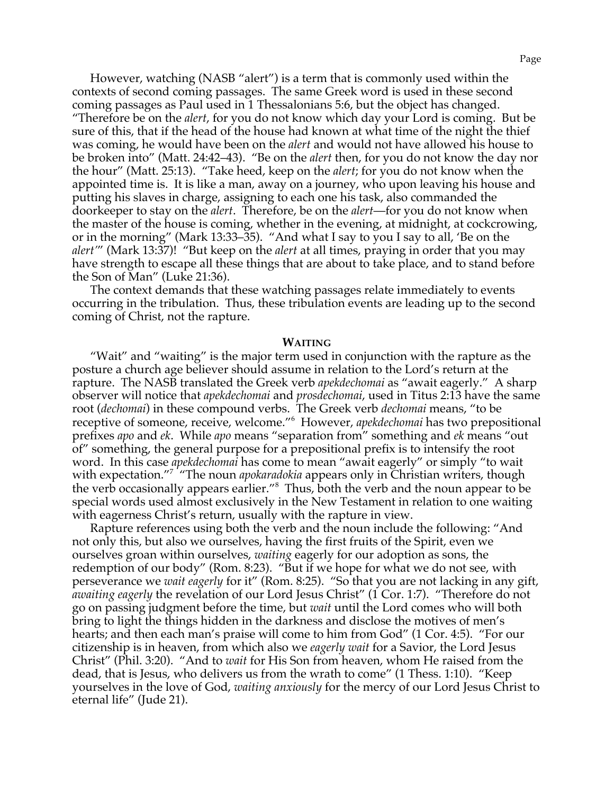However, watching (NASB "alert") is a term that is commonly used within the contexts of second coming passages. The same Greek word is used in these second coming passages as Paul used in 1 Thessalonians 5:6, but the object has changed.

"Therefore be on the *alert*, for you do not know which day your Lord is coming. But be sure of this, that if the head of the house had known at what time of the night the thief was coming, he would have been on the *alert* and would not have allowed his house to be broken into" (Matt. 24:42–43). "Be on the *alert* then, for you do not know the day nor the hour" (Matt. 25:13). "Take heed, keep on the *alert*; for you do not know when the appointed time is. It is like a man, away on a journey, who upon leaving his house and putting his slaves in charge, assigning to each one his task, also commanded the doorkeeper to stay on the *alert*. Therefore, be on the *alert*—for you do not know when the master of the house is coming, whether in the evening, at midnight, at cockcrowing, or in the morning" (Mark 13:33–35). "And what I say to you I say to all, 'Be on the *alert'*" (Mark 13:37)! "But keep on the *alert* at all times, praying in order that you may have strength to escape all these things that are about to take place, and to stand before the Son of Man" (Luke 21:36).

The context demands that these watching passages relate immediately to events occurring in the tribulation. Thus, these tribulation events are leading up to the second coming of Christ, not the rapture.

#### **WAITING**

"Wait" and "waiting" is the major term used in conjunction with the rapture as the posture a church age believer should assume in relation to the Lord's return at the rapture. The NASB translated the Greek verb *apekdechomai* as "await eagerly." A sharp observer will notice that *apekdechomai* and *prosdechomai*, used in Titus 2:13 have the same root (*dechomai*) in these compound verbs. The Greek verb *dechomai* means, "to be receptive of someone, receive, welcome."<sup>6</sup> However, *apekdechomai* has two prepositional prefixes *apo* and *ek*. While *apo* means "separation from" something and *ek* means "out of" something, the general purpose for a prepositional prefix is to intensify the root word. In this case *apekdechomai* has come to mean "await eagerly" or simply "to wait with expectation."7 "The noun *apokaradokia* appears only in Christian writers, though the verb occasionally appears earlier."<sup>8</sup> Thus, both the verb and the noun appear to be special words used almost exclusively in the New Testament in relation to one waiting with eagerness Christ's return, usually with the rapture in view.

Rapture references using both the verb and the noun include the following: "And not only this, but also we ourselves, having the first fruits of the Spirit, even we ourselves groan within ourselves, *waiting* eagerly for our adoption as sons, the redemption of our body" (Rom. 8:23). "But if we hope for what we do not see, with perseverance we *wait eagerly* for it" (Rom. 8:25). "So that you are not lacking in any gift, *awaiting eagerly* the revelation of our Lord Jesus Christ" (1 Cor. 1:7). "Therefore do not go on passing judgment before the time, but *wait* until the Lord comes who will both bring to light the things hidden in the darkness and disclose the motives of men's hearts; and then each man's praise will come to him from God" (1 Cor. 4:5). "For our citizenship is in heaven, from which also we *eagerly wait* for a Savior, the Lord Jesus Christ" (Phil. 3:20). "And to *wait* for His Son from heaven, whom He raised from the dead, that is Jesus, who delivers us from the wrath to come" (1 Thess. 1:10). "Keep yourselves in the love of God, *waiting anxiously* for the mercy of our Lord Jesus Christ to eternal life" (Jude 21).